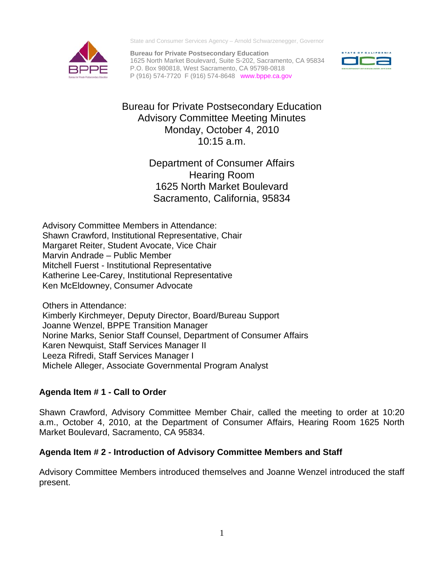State and Consumer Services Agency – Arnold Schwarzenegger, Governor

**Bureau for Private Postsecondary Education**  1625 North Market Boulevard, Suite S-202, Sacramento, CA 95834 P.O. Box 980818, West Sacramento, CA 95798-0818 P (916) 574-7720 F (916) 574-8648 www.bppe.ca.gov



Bureau for Private Postsecondary Education Advisory Committee Meeting Minutes Monday, October 4, 2010 10:15 a.m.

> Department of Consumer Affairs Hearing Room 1625 North Market Boulevard Sacramento, California, 95834

Margaret Reiter, Student Avocate, Vice Chair<br>Marvin Andrade – Public Member Advisory Committee Members in Attendance: Shawn Crawford, Institutional Representative, Chair Mitchell Fuerst - Institutional Representative Katherine Lee-Carey, Institutional Representative Ken McEldowney, Consumer Advocate

Others in Attendance: Kimberly Kirchmeyer, Deputy Director, Board/Bureau Support Joanne Wenzel, BPPE Transition Manager Norine Marks, Senior Staff Counsel, Department of Consumer Affairs Karen Newquist, Staff Services Manager II Leeza Rifredi, Staff Services Manager I Michele Alleger, Associate Governmental Program Analyst

# **Agenda Item # 1 - Call to Order**

Shawn Crawford, Advisory Committee Member Chair, called the meeting to order at 10:20 a.m., October 4, 2010, at the Department of Consumer Affairs, Hearing Room 1625 North Market Boulevard, Sacramento, CA 95834.

# **Agenda Item # 2 - Introduction of Advisory Committee Members and Staff**

Advisory Committee Members introduced themselves and Joanne Wenzel introduced the staff present.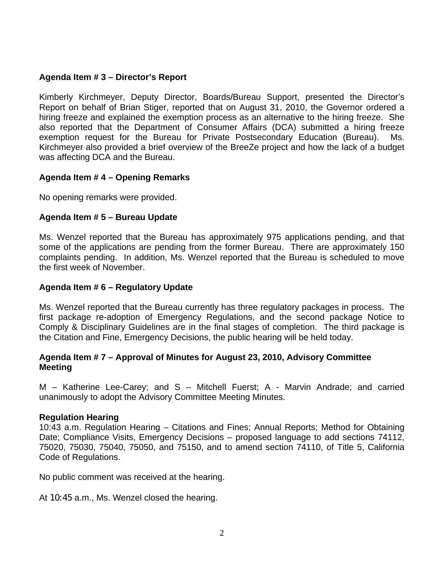### **Agenda Item # 3 – Director's Report**

Kimberly Kirchmeyer, Deputy Director, Boards/Bureau Support, presented the Director's Report on behalf of Brian Stiger, reported that on August 31, 2010, the Governor ordered a hiring freeze and explained the exemption process as an alternative to the hiring freeze. She also reported that the Department of Consumer Affairs (DCA) submitted a hiring freeze exemption request for the Bureau for Private Postsecondary Education (Bureau). Ms. Kirchmeyer also provided a brief overview of the BreeZe project and how the lack of a budget was affecting DCA and the Bureau.

### **Agenda Item # 4 – Opening Remarks**

No opening remarks were provided.

### **Agenda Item # 5 – Bureau Update**

Ms. Wenzel reported that the Bureau has approximately 975 applications pending, and that some of the applications are pending from the former Bureau. There are approximately 150 complaints pending. In addition, Ms. Wenzel reported that the Bureau is scheduled to move the first week of November.

### **Agenda Item # 6 – Regulatory Update**

Ms. Wenzel reported that the Bureau currently has three regulatory packages in process. The first package re-adoption of Emergency Regulations, and the second package Notice to Comply & Disciplinary Guidelines are in the final stages of completion. The third package is the Citation and Fine, Emergency Decisions, the public hearing will be held today.

### **Agenda Item # 7 – Approval of Minutes for August 23, 2010, Advisory Committee Meeting**

M – Katherine Lee-Carey; and S – Mitchell Fuerst; A - Marvin Andrade; and carried unanimously to adopt the Advisory Committee Meeting Minutes.

### **Regulation Hearing**

10:43 a.m. Regulation Hearing – Citations and Fines; Annual Reports; Method for Obtaining Date; Compliance Visits, Emergency Decisions – proposed language to add sections 74112, 75020, 75030, 75040, 75050, and 75150, and to amend section 74110, of Title 5, California Code of Regulations.

No public comment was received at the hearing.

At 10:45 a.m., Ms. Wenzel closed the hearing.